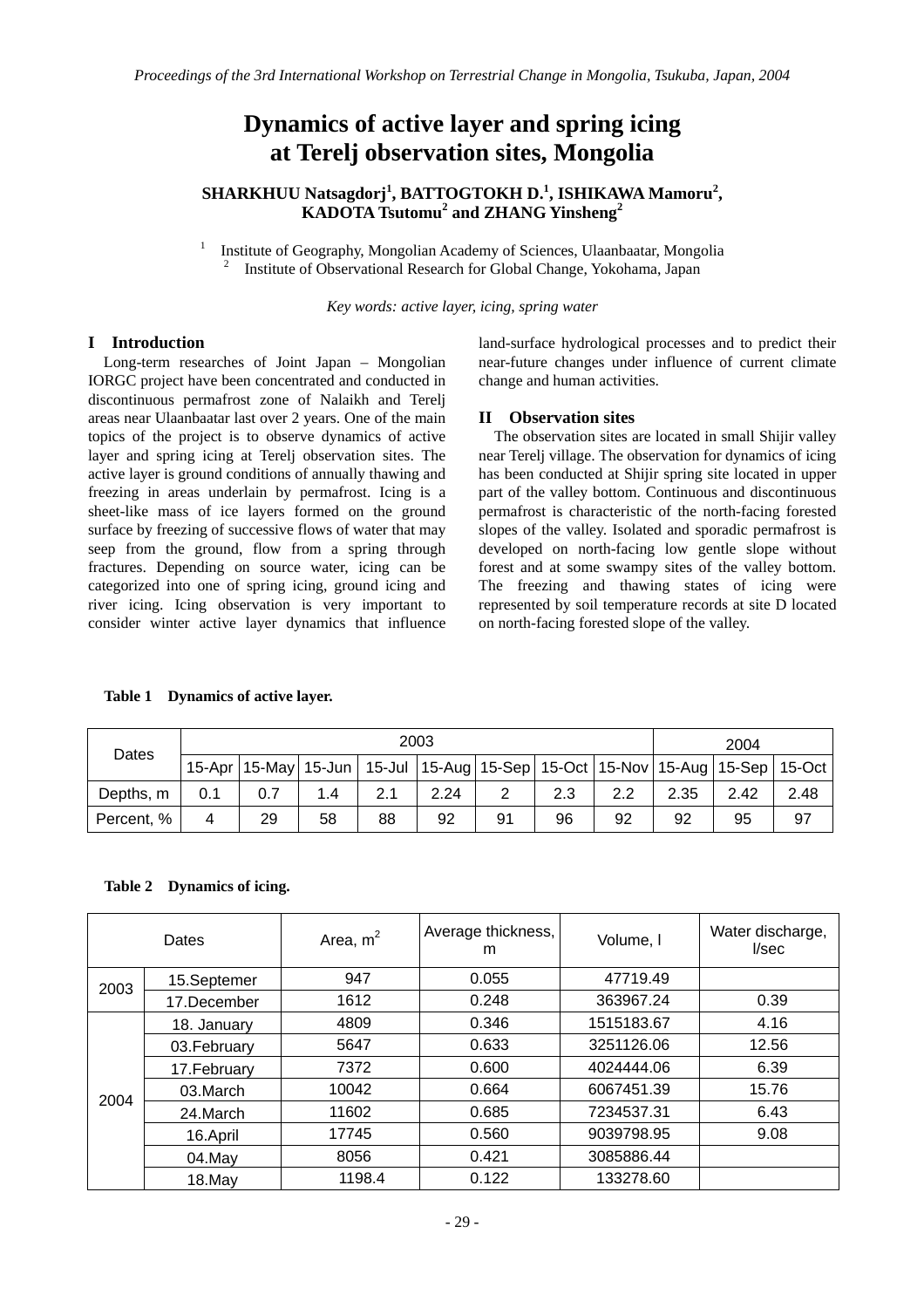# **Dynamics of active layer and spring icing at Terelj observation sites, Mongolia**

# **SHARKHUU Natsagdorj<sup>1</sup> , BATTOGTOKH D.<sup>1</sup> , ISHIKAWA Mamoru<sup>2</sup> , KADOTA Tsutomu<sup>2</sup> and ZHANG Yinsheng<sup>2</sup>**

1 Institute of Geography, Mongolian Academy of Sciences, Ulaanbaatar, Mongolia 2 Institute of Observational Research for Global Change, Yokohama, Japan

*Key words: active layer, icing, spring water* 

# **I Introduction**

Long-term researches of Joint Japan – Mongolian IORGC project have been concentrated and conducted in discontinuous permafrost zone of Nalaikh and Terelj areas near Ulaanbaatar last over 2 years. One of the main topics of the project is to observe dynamics of active layer and spring icing at Terelj observation sites. The active layer is ground conditions of annually thawing and freezing in areas underlain by permafrost. Icing is a sheet-like mass of ice layers formed on the ground surface by freezing of successive flows of water that may seep from the ground, flow from a spring through fractures. Depending on source water, icing can be categorized into one of spring icing, ground icing and river icing. Icing observation is very important to consider winter active layer dynamics that influence

land-surface hydrological processes and to predict their near-future changes under influence of current climate change and human activities.

## **II Observation sites**

 The observation sites are located in small Shijir valley near Terelj village. The observation for dynamics of icing has been conducted at Shijir spring site located in upper part of the valley bottom. Continuous and discontinuous permafrost is characteristic of the north-facing forested slopes of the valley. Isolated and sporadic permafrost is developed on north-facing low gentle slope without forest and at some swampy sites of the valley bottom. The freezing and thawing states of icing were represented by soil temperature records at site D located on north-facing forested slope of the valley.

#### **Table 1 Dynamics of active layer.**

| Dates      | 2003 |     |     |     |      |    |     |                  |                                                                                                  | 2004 |      |  |
|------------|------|-----|-----|-----|------|----|-----|------------------|--------------------------------------------------------------------------------------------------|------|------|--|
|            |      |     |     |     |      |    |     |                  | 15-Apr   15-May   15-Jun   15-Jul   15-Aug   15-Sep   15-Oct   15-Nov   15-Aug   15-Sep   15-Oct |      |      |  |
| Depths, m  | 0.1  | 0.7 | 1.4 | 2.1 | 2.24 | っ  | 2.3 | $2.2\phantom{0}$ | 2.35                                                                                             | 2.42 | 2.48 |  |
| Percent, % | 4    | 29  | 58  | 88  | 92   | 91 | 96  | 92               | 92                                                                                               | 95   | 97   |  |

#### **Table 2 Dynamics of icing.**

| <b>Dates</b> |              | Area, $m2$ | Average thickness,<br>m | Volume, I  | Water discharge,<br>I/sec |
|--------------|--------------|------------|-------------------------|------------|---------------------------|
| 2003         | 15.Septemer  | 947        | 0.055                   | 47719.49   |                           |
|              | 17.December  | 1612       | 0.248                   | 363967.24  | 0.39                      |
| 2004         | 18. January  | 4809       | 0.346                   | 1515183.67 | 4.16                      |
|              | 03. February | 5647       | 0.633                   | 3251126.06 | 12.56                     |
|              | 17. February | 7372       | 0.600                   | 4024444.06 | 6.39                      |
|              | 03.March     | 10042      | 0.664                   | 6067451.39 | 15.76                     |
|              | 24.March     | 11602      | 0.685                   | 7234537.31 | 6.43                      |
|              | 16.April     | 17745      | 0.560                   | 9039798.95 | 9.08                      |
|              | 04.May       | 8056       | 0.421                   | 3085886.44 |                           |
|              | 18.May       | 1198.4     | 0.122                   | 133278.60  |                           |